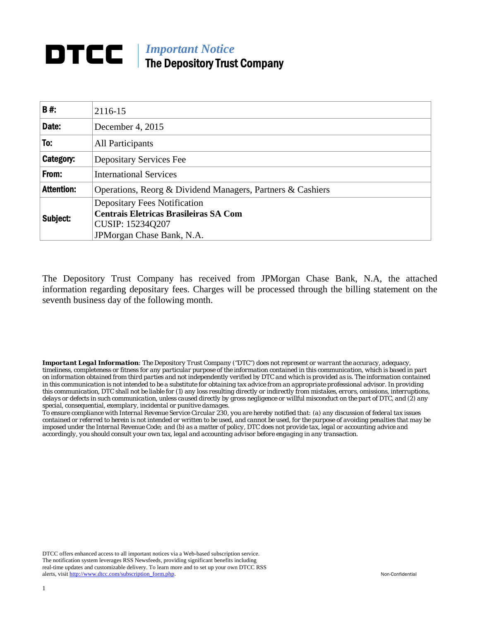## *Important Notice*  The Depository Trust Company

| <b>B#:</b>        | 2116-15                                                                             |  |  |  |  |  |
|-------------------|-------------------------------------------------------------------------------------|--|--|--|--|--|
| Date:             | December 4, 2015                                                                    |  |  |  |  |  |
| To:               | All Participants                                                                    |  |  |  |  |  |
| Category:         | <b>Depositary Services Fee</b>                                                      |  |  |  |  |  |
| From:             | <b>International Services</b>                                                       |  |  |  |  |  |
| <b>Attention:</b> | Operations, Reorg & Dividend Managers, Partners & Cashiers                          |  |  |  |  |  |
| Subject:          | <b>Depositary Fees Notification</b><br><b>Centrais Eletricas Brasileiras SA Com</b> |  |  |  |  |  |
|                   | CUSIP: 15234Q207                                                                    |  |  |  |  |  |
|                   | JPMorgan Chase Bank, N.A.                                                           |  |  |  |  |  |

The Depository Trust Company has received from JPMorgan Chase Bank, N.A, the attached information regarding depositary fees. Charges will be processed through the billing statement on the seventh business day of the following month.

*Important Legal Information: The Depository Trust Company ("DTC") does not represent or warrant the accuracy, adequacy, timeliness, completeness or fitness for any particular purpose of the information contained in this communication, which is based in part on information obtained from third parties and not independently verified by DTC and which is provided as is. The information contained in this communication is not intended to be a substitute for obtaining tax advice from an appropriate professional advisor. In providing this communication, DTC shall not be liable for (1) any loss resulting directly or indirectly from mistakes, errors, omissions, interruptions, delays or defects in such communication, unless caused directly by gross negligence or willful misconduct on the part of DTC, and (2) any special, consequential, exemplary, incidental or punitive damages.* 

*To ensure compliance with Internal Revenue Service Circular 230, you are hereby notified that: (a) any discussion of federal tax issues contained or referred to herein is not intended or written to be used, and cannot be used, for the purpose of avoiding penalties that may be imposed under the Internal Revenue Code; and (b) as a matter of policy, DTC does not provide tax, legal or accounting advice and accordingly, you should consult your own tax, legal and accounting advisor before engaging in any transaction.*

DTCC offers enhanced access to all important notices via a Web-based subscription service. The notification system leverages RSS Newsfeeds, providing significant benefits including real-time updates and customizable delivery. To learn more and to set up your own DTCC RSS alerts, visit http://www.dtcc.com/subscription\_form.php. Non-Confidential